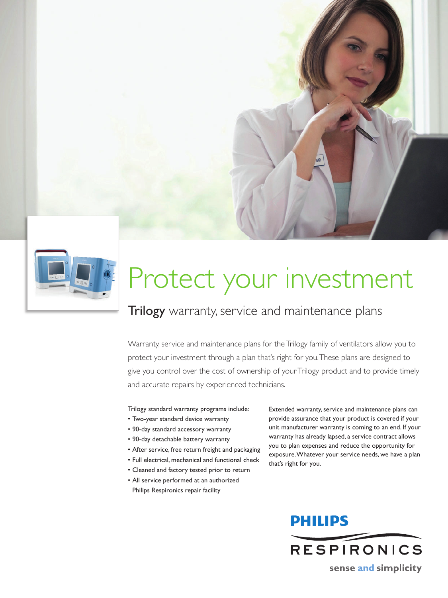



# Protect your investment

### Trilogy warranty, service and maintenance plans

Warranty, service and maintenance plans for the Trilogy family of ventilators allow you to protect your investment through a plan that's right for you. These plans are designed to give you control over the cost of ownership of your Trilogy product and to provide timely and accurate repairs by experienced technicians.

Trilogy standard warranty programs include:

- Two-year standard device warranty
- 90-day standard accessory warranty
- 90-day detachable battery warranty
- After service, free return freight and packaging
- Full electrical, mechanical and functional check
- Cleaned and factory tested prior to return
- All service performed at an authorized Philips Respironics repair facility

Extended warranty, service and maintenance plans can provide assurance that your product is covered if your unit manufacturer warranty is coming to an end. If your warranty has already lapsed, a service contract allows you to plan expenses and reduce the opportunity for exposure. Whatever your service needs, we have a plan that's right for you.